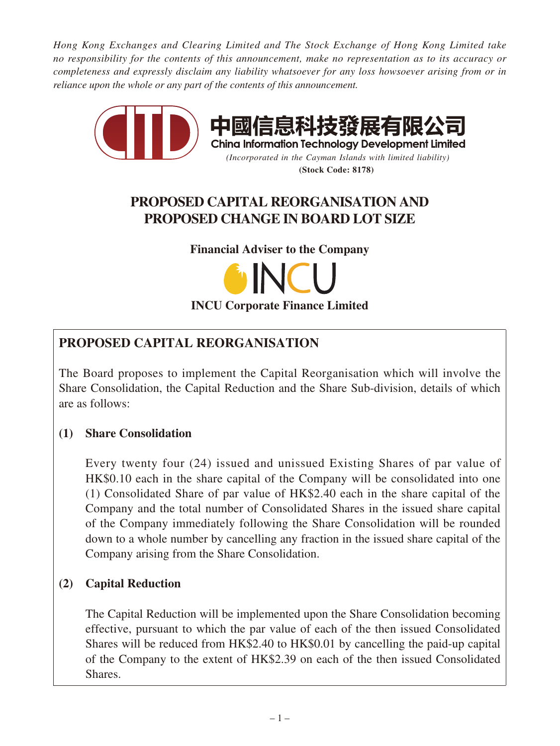*Hong Kong Exchanges and Clearing Limited and The Stock Exchange of Hong Kong Limited take no responsibility for the contents of this announcement, make no representation as to its accuracy or completeness and expressly disclaim any liability whatsoever for any loss howsoever arising from or in reliance upon the whole or any part of the contents of this announcement.*



#### **(Stock Code: 8178)**

# **PROPOSED CAPITAL REORGANISATION AND PROPOSED CHANGE IN BOARD LOT SIZE**

**Financial Adviser to the Company**



# **PROPOSED CAPITAL REORGANISATION**

The Board proposes to implement the Capital Reorganisation which will involve the Share Consolidation, the Capital Reduction and the Share Sub-division, details of which are as follows:

# **(1) Share Consolidation**

Every twenty four (24) issued and unissued Existing Shares of par value of HK\$0.10 each in the share capital of the Company will be consolidated into one (1) Consolidated Share of par value of HK\$2.40 each in the share capital of the Company and the total number of Consolidated Shares in the issued share capital of the Company immediately following the Share Consolidation will be rounded down to a whole number by cancelling any fraction in the issued share capital of the Company arising from the Share Consolidation.

# **(2) Capital Reduction**

The Capital Reduction will be implemented upon the Share Consolidation becoming effective, pursuant to which the par value of each of the then issued Consolidated Shares will be reduced from HK\$2.40 to HK\$0.01 by cancelling the paid-up capital of the Company to the extent of HK\$2.39 on each of the then issued Consolidated Shares.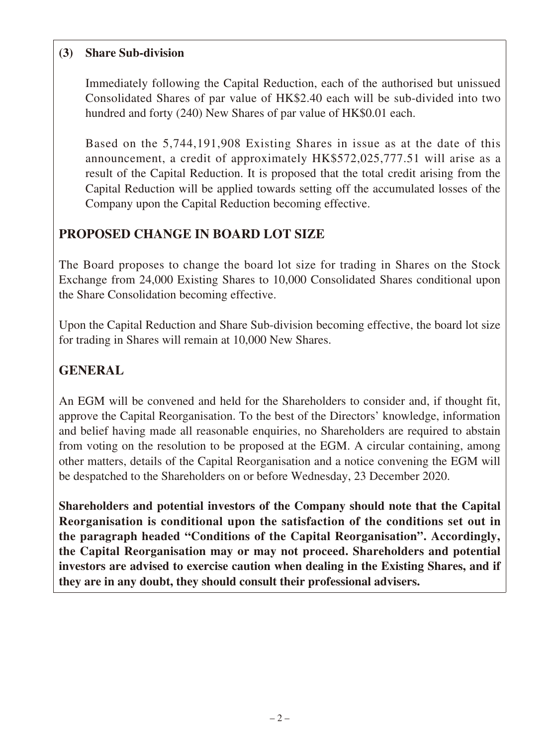## **(3) Share Sub-division**

Immediately following the Capital Reduction, each of the authorised but unissued Consolidated Shares of par value of HK\$2.40 each will be sub-divided into two hundred and forty (240) New Shares of par value of HK\$0.01 each.

Based on the 5,744,191,908 Existing Shares in issue as at the date of this announcement, a credit of approximately HK\$572,025,777.51 will arise as a result of the Capital Reduction. It is proposed that the total credit arising from the Capital Reduction will be applied towards setting off the accumulated losses of the Company upon the Capital Reduction becoming effective.

# **PROPOSED CHANGE IN BOARD LOT SIZE**

The Board proposes to change the board lot size for trading in Shares on the Stock Exchange from 24,000 Existing Shares to 10,000 Consolidated Shares conditional upon the Share Consolidation becoming effective.

Upon the Capital Reduction and Share Sub-division becoming effective, the board lot size for trading in Shares will remain at 10,000 New Shares.

# **GENERAL**

An EGM will be convened and held for the Shareholders to consider and, if thought fit, approve the Capital Reorganisation. To the best of the Directors' knowledge, information and belief having made all reasonable enquiries, no Shareholders are required to abstain from voting on the resolution to be proposed at the EGM. A circular containing, among other matters, details of the Capital Reorganisation and a notice convening the EGM will be despatched to the Shareholders on or before Wednesday, 23 December 2020.

**Shareholders and potential investors of the Company should note that the Capital Reorganisation is conditional upon the satisfaction of the conditions set out in the paragraph headed "Conditions of the Capital Reorganisation". Accordingly, the Capital Reorganisation may or may not proceed. Shareholders and potential investors are advised to exercise caution when dealing in the Existing Shares, and if they are in any doubt, they should consult their professional advisers.**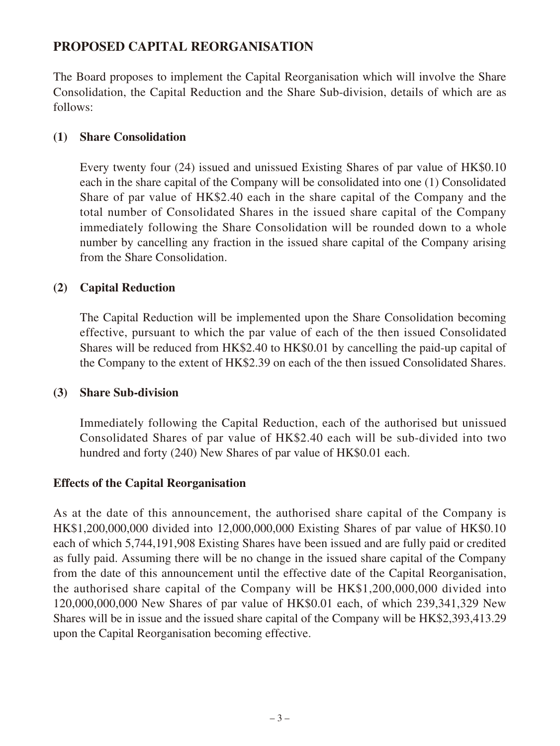## **PROPOSED CAPITAL REORGANISATION**

The Board proposes to implement the Capital Reorganisation which will involve the Share Consolidation, the Capital Reduction and the Share Sub-division, details of which are as follows:

#### **(1) Share Consolidation**

Every twenty four (24) issued and unissued Existing Shares of par value of HK\$0.10 each in the share capital of the Company will be consolidated into one (1) Consolidated Share of par value of HK\$2.40 each in the share capital of the Company and the total number of Consolidated Shares in the issued share capital of the Company immediately following the Share Consolidation will be rounded down to a whole number by cancelling any fraction in the issued share capital of the Company arising from the Share Consolidation.

#### **(2) Capital Reduction**

The Capital Reduction will be implemented upon the Share Consolidation becoming effective, pursuant to which the par value of each of the then issued Consolidated Shares will be reduced from HK\$2.40 to HK\$0.01 by cancelling the paid-up capital of the Company to the extent of HK\$2.39 on each of the then issued Consolidated Shares.

#### **(3) Share Sub-division**

Immediately following the Capital Reduction, each of the authorised but unissued Consolidated Shares of par value of HK\$2.40 each will be sub-divided into two hundred and forty (240) New Shares of par value of HK\$0.01 each.

#### **Effects of the Capital Reorganisation**

As at the date of this announcement, the authorised share capital of the Company is HK\$1,200,000,000 divided into 12,000,000,000 Existing Shares of par value of HK\$0.10 each of which 5,744,191,908 Existing Shares have been issued and are fully paid or credited as fully paid. Assuming there will be no change in the issued share capital of the Company from the date of this announcement until the effective date of the Capital Reorganisation, the authorised share capital of the Company will be HK\$1,200,000,000 divided into 120,000,000,000 New Shares of par value of HK\$0.01 each, of which 239,341,329 New Shares will be in issue and the issued share capital of the Company will be HK\$2,393,413.29 upon the Capital Reorganisation becoming effective.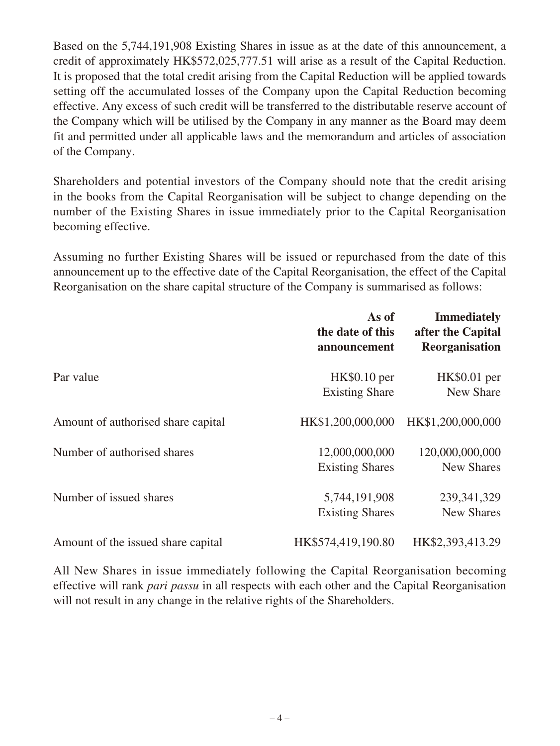Based on the 5,744,191,908 Existing Shares in issue as at the date of this announcement, a credit of approximately HK\$572,025,777.51 will arise as a result of the Capital Reduction. It is proposed that the total credit arising from the Capital Reduction will be applied towards setting off the accumulated losses of the Company upon the Capital Reduction becoming effective. Any excess of such credit will be transferred to the distributable reserve account of the Company which will be utilised by the Company in any manner as the Board may deem fit and permitted under all applicable laws and the memorandum and articles of association of the Company.

Shareholders and potential investors of the Company should note that the credit arising in the books from the Capital Reorganisation will be subject to change depending on the number of the Existing Shares in issue immediately prior to the Capital Reorganisation becoming effective.

Assuming no further Existing Shares will be issued or repurchased from the date of this announcement up to the effective date of the Capital Reorganisation, the effect of the Capital Reorganisation on the share capital structure of the Company is summarised as follows:

|                                    | As of<br>the date of this<br>announcement | <b>Immediately</b><br>after the Capital<br><b>Reorganisation</b> |
|------------------------------------|-------------------------------------------|------------------------------------------------------------------|
| Par value                          | HK\$0.10 per<br><b>Existing Share</b>     | HK\$0.01 per<br>New Share                                        |
| Amount of authorised share capital | HK\$1,200,000,000                         | HK\$1,200,000,000                                                |
| Number of authorised shares        | 12,000,000,000<br><b>Existing Shares</b>  | 120,000,000,000<br><b>New Shares</b>                             |
| Number of issued shares            | 5,744,191,908<br><b>Existing Shares</b>   | 239, 341, 329<br><b>New Shares</b>                               |
| Amount of the issued share capital | HK\$574,419,190.80                        | HK\$2,393,413.29                                                 |

All New Shares in issue immediately following the Capital Reorganisation becoming effective will rank *pari passu* in all respects with each other and the Capital Reorganisation will not result in any change in the relative rights of the Shareholders.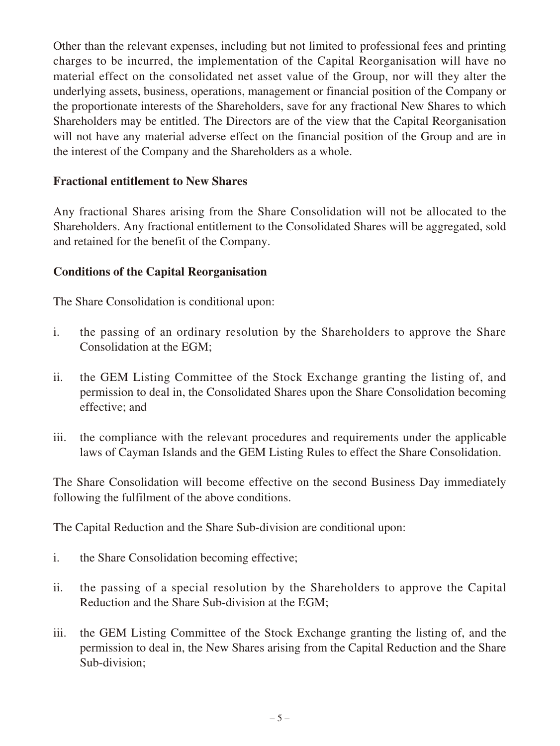Other than the relevant expenses, including but not limited to professional fees and printing charges to be incurred, the implementation of the Capital Reorganisation will have no material effect on the consolidated net asset value of the Group, nor will they alter the underlying assets, business, operations, management or financial position of the Company or the proportionate interests of the Shareholders, save for any fractional New Shares to which Shareholders may be entitled. The Directors are of the view that the Capital Reorganisation will not have any material adverse effect on the financial position of the Group and are in the interest of the Company and the Shareholders as a whole.

### **Fractional entitlement to New Shares**

Any fractional Shares arising from the Share Consolidation will not be allocated to the Shareholders. Any fractional entitlement to the Consolidated Shares will be aggregated, sold and retained for the benefit of the Company.

### **Conditions of the Capital Reorganisation**

The Share Consolidation is conditional upon:

- i. the passing of an ordinary resolution by the Shareholders to approve the Share Consolidation at the EGM;
- ii. the GEM Listing Committee of the Stock Exchange granting the listing of, and permission to deal in, the Consolidated Shares upon the Share Consolidation becoming effective; and
- iii. the compliance with the relevant procedures and requirements under the applicable laws of Cayman Islands and the GEM Listing Rules to effect the Share Consolidation.

The Share Consolidation will become effective on the second Business Day immediately following the fulfilment of the above conditions.

The Capital Reduction and the Share Sub-division are conditional upon:

- i. the Share Consolidation becoming effective;
- ii. the passing of a special resolution by the Shareholders to approve the Capital Reduction and the Share Sub-division at the EGM;
- iii. the GEM Listing Committee of the Stock Exchange granting the listing of, and the permission to deal in, the New Shares arising from the Capital Reduction and the Share Sub-division;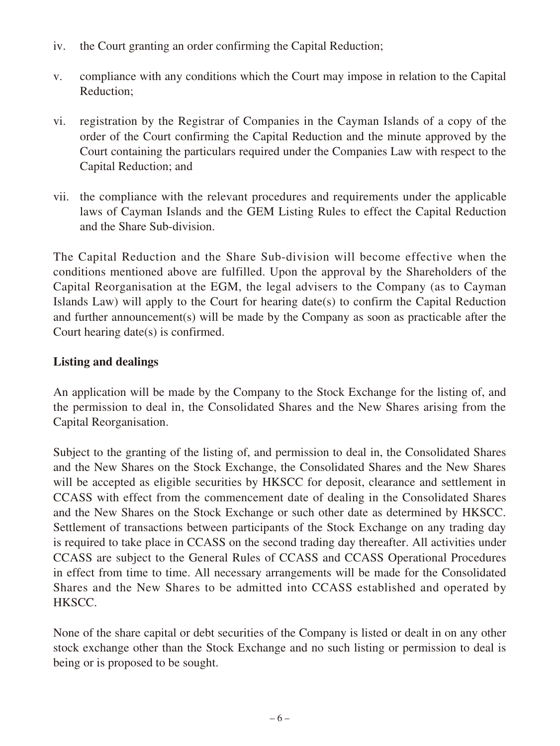- iv. the Court granting an order confirming the Capital Reduction;
- v. compliance with any conditions which the Court may impose in relation to the Capital Reduction;
- vi. registration by the Registrar of Companies in the Cayman Islands of a copy of the order of the Court confirming the Capital Reduction and the minute approved by the Court containing the particulars required under the Companies Law with respect to the Capital Reduction; and
- vii. the compliance with the relevant procedures and requirements under the applicable laws of Cayman Islands and the GEM Listing Rules to effect the Capital Reduction and the Share Sub-division.

The Capital Reduction and the Share Sub-division will become effective when the conditions mentioned above are fulfilled. Upon the approval by the Shareholders of the Capital Reorganisation at the EGM, the legal advisers to the Company (as to Cayman Islands Law) will apply to the Court for hearing date(s) to confirm the Capital Reduction and further announcement(s) will be made by the Company as soon as practicable after the Court hearing date(s) is confirmed.

### **Listing and dealings**

An application will be made by the Company to the Stock Exchange for the listing of, and the permission to deal in, the Consolidated Shares and the New Shares arising from the Capital Reorganisation.

Subject to the granting of the listing of, and permission to deal in, the Consolidated Shares and the New Shares on the Stock Exchange, the Consolidated Shares and the New Shares will be accepted as eligible securities by HKSCC for deposit, clearance and settlement in CCASS with effect from the commencement date of dealing in the Consolidated Shares and the New Shares on the Stock Exchange or such other date as determined by HKSCC. Settlement of transactions between participants of the Stock Exchange on any trading day is required to take place in CCASS on the second trading day thereafter. All activities under CCASS are subject to the General Rules of CCASS and CCASS Operational Procedures in effect from time to time. All necessary arrangements will be made for the Consolidated Shares and the New Shares to be admitted into CCASS established and operated by HKSCC.

None of the share capital or debt securities of the Company is listed or dealt in on any other stock exchange other than the Stock Exchange and no such listing or permission to deal is being or is proposed to be sought.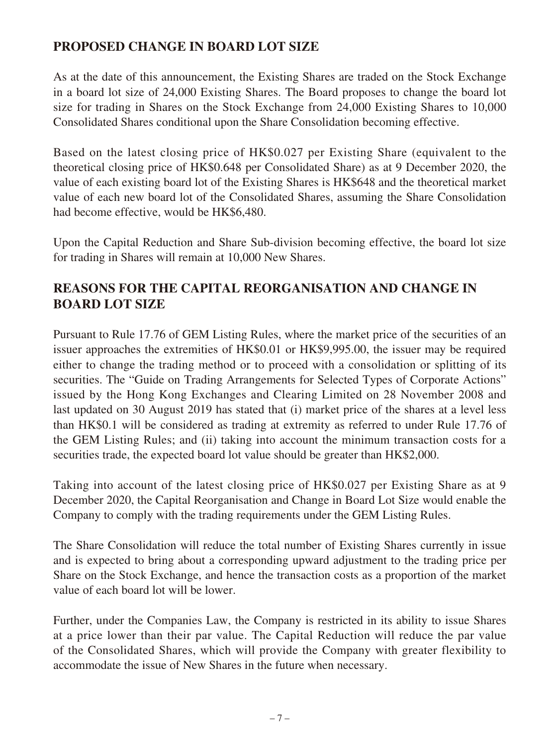# **PROPOSED CHANGE IN BOARD LOT SIZE**

As at the date of this announcement, the Existing Shares are traded on the Stock Exchange in a board lot size of 24,000 Existing Shares. The Board proposes to change the board lot size for trading in Shares on the Stock Exchange from 24,000 Existing Shares to 10,000 Consolidated Shares conditional upon the Share Consolidation becoming effective.

Based on the latest closing price of HK\$0.027 per Existing Share (equivalent to the theoretical closing price of HK\$0.648 per Consolidated Share) as at 9 December 2020, the value of each existing board lot of the Existing Shares is HK\$648 and the theoretical market value of each new board lot of the Consolidated Shares, assuming the Share Consolidation had become effective, would be HK\$6,480.

Upon the Capital Reduction and Share Sub-division becoming effective, the board lot size for trading in Shares will remain at 10,000 New Shares.

# **REASONS FOR THE CAPITAL REORGANISATION AND CHANGE IN BOARD LOT SIZE**

Pursuant to Rule 17.76 of GEM Listing Rules, where the market price of the securities of an issuer approaches the extremities of HK\$0.01 or HK\$9,995.00, the issuer may be required either to change the trading method or to proceed with a consolidation or splitting of its securities. The "Guide on Trading Arrangements for Selected Types of Corporate Actions" issued by the Hong Kong Exchanges and Clearing Limited on 28 November 2008 and last updated on 30 August 2019 has stated that (i) market price of the shares at a level less than HK\$0.1 will be considered as trading at extremity as referred to under Rule 17.76 of the GEM Listing Rules; and (ii) taking into account the minimum transaction costs for a securities trade, the expected board lot value should be greater than HK\$2,000.

Taking into account of the latest closing price of HK\$0.027 per Existing Share as at 9 December 2020, the Capital Reorganisation and Change in Board Lot Size would enable the Company to comply with the trading requirements under the GEM Listing Rules.

The Share Consolidation will reduce the total number of Existing Shares currently in issue and is expected to bring about a corresponding upward adjustment to the trading price per Share on the Stock Exchange, and hence the transaction costs as a proportion of the market value of each board lot will be lower.

Further, under the Companies Law, the Company is restricted in its ability to issue Shares at a price lower than their par value. The Capital Reduction will reduce the par value of the Consolidated Shares, which will provide the Company with greater flexibility to accommodate the issue of New Shares in the future when necessary.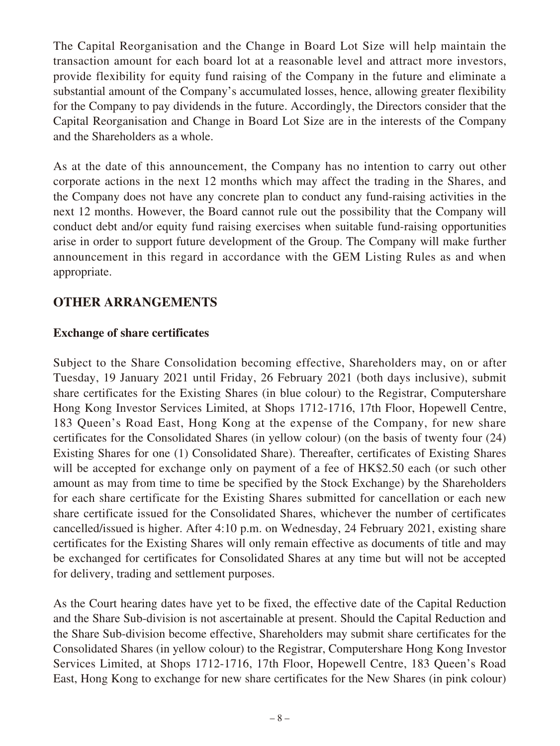The Capital Reorganisation and the Change in Board Lot Size will help maintain the transaction amount for each board lot at a reasonable level and attract more investors, provide flexibility for equity fund raising of the Company in the future and eliminate a substantial amount of the Company's accumulated losses, hence, allowing greater flexibility for the Company to pay dividends in the future. Accordingly, the Directors consider that the Capital Reorganisation and Change in Board Lot Size are in the interests of the Company and the Shareholders as a whole.

As at the date of this announcement, the Company has no intention to carry out other corporate actions in the next 12 months which may affect the trading in the Shares, and the Company does not have any concrete plan to conduct any fund-raising activities in the next 12 months. However, the Board cannot rule out the possibility that the Company will conduct debt and/or equity fund raising exercises when suitable fund-raising opportunities arise in order to support future development of the Group. The Company will make further announcement in this regard in accordance with the GEM Listing Rules as and when appropriate.

# **OTHER ARRANGEMENTS**

### **Exchange of share certificates**

Subject to the Share Consolidation becoming effective, Shareholders may, on or after Tuesday, 19 January 2021 until Friday, 26 February 2021 (both days inclusive), submit share certificates for the Existing Shares (in blue colour) to the Registrar, Computershare Hong Kong Investor Services Limited, at Shops 1712-1716, 17th Floor, Hopewell Centre, 183 Queen's Road East, Hong Kong at the expense of the Company, for new share certificates for the Consolidated Shares (in yellow colour) (on the basis of twenty four (24) Existing Shares for one (1) Consolidated Share). Thereafter, certificates of Existing Shares will be accepted for exchange only on payment of a fee of HK\$2.50 each (or such other amount as may from time to time be specified by the Stock Exchange) by the Shareholders for each share certificate for the Existing Shares submitted for cancellation or each new share certificate issued for the Consolidated Shares, whichever the number of certificates cancelled/issued is higher. After 4:10 p.m. on Wednesday, 24 February 2021, existing share certificates for the Existing Shares will only remain effective as documents of title and may be exchanged for certificates for Consolidated Shares at any time but will not be accepted for delivery, trading and settlement purposes.

As the Court hearing dates have yet to be fixed, the effective date of the Capital Reduction and the Share Sub-division is not ascertainable at present. Should the Capital Reduction and the Share Sub-division become effective, Shareholders may submit share certificates for the Consolidated Shares (in yellow colour) to the Registrar, Computershare Hong Kong Investor Services Limited, at Shops 1712-1716, 17th Floor, Hopewell Centre, 183 Queen's Road East, Hong Kong to exchange for new share certificates for the New Shares (in pink colour)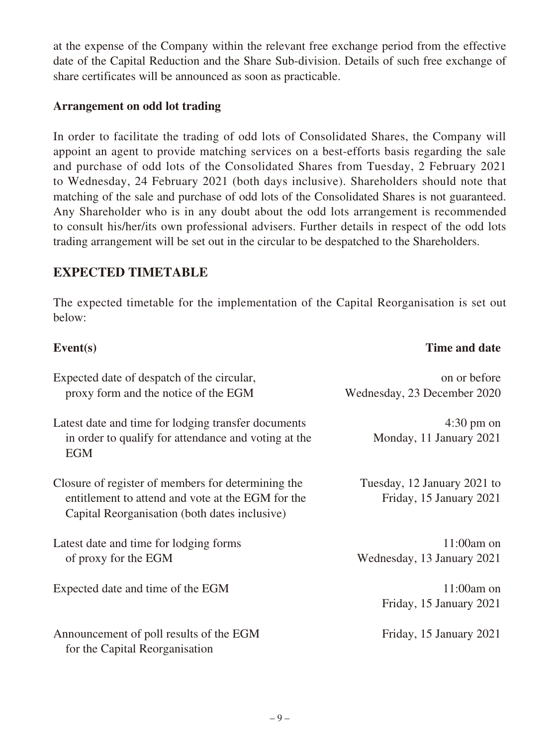at the expense of the Company within the relevant free exchange period from the effective date of the Capital Reduction and the Share Sub-division. Details of such free exchange of share certificates will be announced as soon as practicable.

#### **Arrangement on odd lot trading**

In order to facilitate the trading of odd lots of Consolidated Shares, the Company will appoint an agent to provide matching services on a best-efforts basis regarding the sale and purchase of odd lots of the Consolidated Shares from Tuesday, 2 February 2021 to Wednesday, 24 February 2021 (both days inclusive). Shareholders should note that matching of the sale and purchase of odd lots of the Consolidated Shares is not guaranteed. Any Shareholder who is in any doubt about the odd lots arrangement is recommended to consult his/her/its own professional advisers. Further details in respect of the odd lots trading arrangement will be set out in the circular to be despatched to the Shareholders.

# **EXPECTED TIMETABLE**

The expected timetable for the implementation of the Capital Reorganisation is set out below:

| Event(s)                                                                                                                                                 | Time and date                                          |
|----------------------------------------------------------------------------------------------------------------------------------------------------------|--------------------------------------------------------|
| Expected date of despatch of the circular,<br>proxy form and the notice of the EGM                                                                       | on or before<br>Wednesday, 23 December 2020            |
| Latest date and time for lodging transfer documents<br>in order to qualify for attendance and voting at the<br><b>EGM</b>                                | $4:30 \text{ pm}$ on<br>Monday, 11 January 2021        |
| Closure of register of members for determining the<br>entitlement to attend and vote at the EGM for the<br>Capital Reorganisation (both dates inclusive) | Tuesday, 12 January 2021 to<br>Friday, 15 January 2021 |
| Latest date and time for lodging forms<br>of proxy for the EGM                                                                                           | $11:00$ am on<br>Wednesday, 13 January 2021            |
| Expected date and time of the EGM                                                                                                                        | $11:00$ am on<br>Friday, 15 January 2021               |
| Announcement of poll results of the EGM<br>for the Capital Reorganisation                                                                                | Friday, 15 January 2021                                |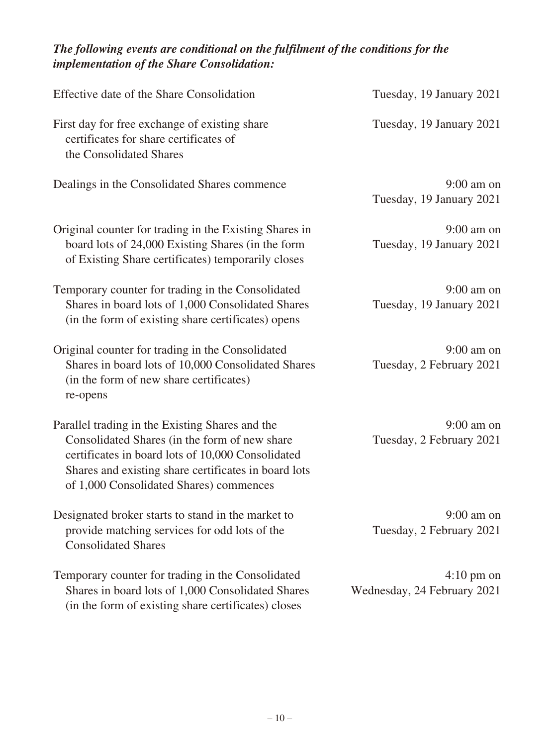## *The following events are conditional on the fulfilment of the conditions for the implementation of the Share Consolidation:*

| Effective date of the Share Consolidation                                                                                                                                                                                                                | Tuesday, 19 January 2021                            |
|----------------------------------------------------------------------------------------------------------------------------------------------------------------------------------------------------------------------------------------------------------|-----------------------------------------------------|
| First day for free exchange of existing share<br>certificates for share certificates of<br>the Consolidated Shares                                                                                                                                       | Tuesday, 19 January 2021                            |
| Dealings in the Consolidated Shares commence                                                                                                                                                                                                             | $9:00$ am on<br>Tuesday, 19 January 2021            |
| Original counter for trading in the Existing Shares in<br>board lots of 24,000 Existing Shares (in the form<br>of Existing Share certificates) temporarily closes                                                                                        | $9:00$ am on<br>Tuesday, 19 January 2021            |
| Temporary counter for trading in the Consolidated<br>Shares in board lots of 1,000 Consolidated Shares<br>(in the form of existing share certificates) opens                                                                                             | $9:00$ am on<br>Tuesday, 19 January 2021            |
| Original counter for trading in the Consolidated<br>Shares in board lots of 10,000 Consolidated Shares<br>(in the form of new share certificates)<br>re-opens                                                                                            | $9:00$ am on<br>Tuesday, 2 February 2021            |
| Parallel trading in the Existing Shares and the<br>Consolidated Shares (in the form of new share<br>certificates in board lots of 10,000 Consolidated<br>Shares and existing share certificates in board lots<br>of 1,000 Consolidated Shares) commences | $9:00$ am on<br>Tuesday, 2 February 2021            |
| Designated broker starts to stand in the market to<br>provide matching services for odd lots of the<br><b>Consolidated Shares</b>                                                                                                                        | $9:00$ am on<br>Tuesday, 2 February 2021            |
| Temporary counter for trading in the Consolidated<br>Shares in board lots of 1,000 Consolidated Shares<br>(in the form of existing share certificates) closes                                                                                            | $4:10 \text{ pm}$ on<br>Wednesday, 24 February 2021 |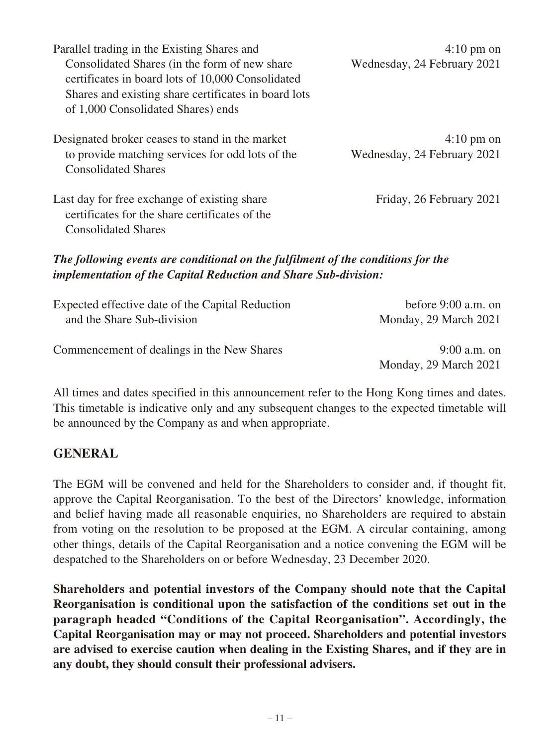| Parallel trading in the Existing Shares and<br>Consolidated Shares (in the form of new share<br>certificates in board lots of 10,000 Consolidated<br>Shares and existing share certificates in board lots<br>of 1,000 Consolidated Shares) ends | $4:10 \text{ pm}$ on<br>Wednesday, 24 February 2021 |
|-------------------------------------------------------------------------------------------------------------------------------------------------------------------------------------------------------------------------------------------------|-----------------------------------------------------|
| Designated broker ceases to stand in the market<br>to provide matching services for odd lots of the<br><b>Consolidated Shares</b>                                                                                                               | $4:10 \text{ pm}$ on<br>Wednesday, 24 February 2021 |
| Last day for free exchange of existing share<br>certificates for the share certificates of the<br><b>Consolidated Shares</b>                                                                                                                    | Friday, 26 February 2021                            |
| The following events are conditional on the fulfilment of the conditions for the<br><i>implementation of the Capital Reduction and Share Sub-division:</i>                                                                                      |                                                     |

| Expected effective date of the Capital Reduction | before $9:00$ a.m. on |
|--------------------------------------------------|-----------------------|
| and the Share Sub-division                       | Monday, 29 March 2021 |
| Commencement of dealings in the New Shares       | $9:00$ a.m. on        |
|                                                  | Monday, 29 March 2021 |

All times and dates specified in this announcement refer to the Hong Kong times and dates. This timetable is indicative only and any subsequent changes to the expected timetable will be announced by the Company as and when appropriate.

### **GENERAL**

The EGM will be convened and held for the Shareholders to consider and, if thought fit, approve the Capital Reorganisation. To the best of the Directors' knowledge, information and belief having made all reasonable enquiries, no Shareholders are required to abstain from voting on the resolution to be proposed at the EGM. A circular containing, among other things, details of the Capital Reorganisation and a notice convening the EGM will be despatched to the Shareholders on or before Wednesday, 23 December 2020.

**Shareholders and potential investors of the Company should note that the Capital Reorganisation is conditional upon the satisfaction of the conditions set out in the paragraph headed "Conditions of the Capital Reorganisation". Accordingly, the Capital Reorganisation may or may not proceed. Shareholders and potential investors are advised to exercise caution when dealing in the Existing Shares, and if they are in any doubt, they should consult their professional advisers.**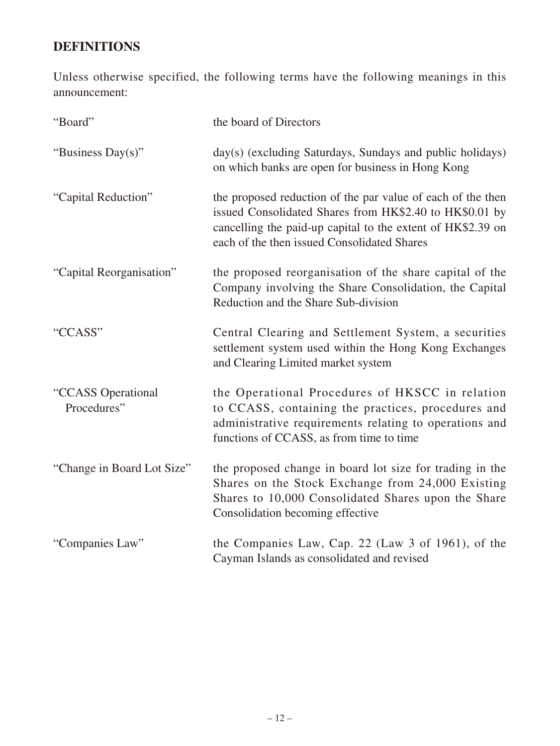# **DEFINITIONS**

Unless otherwise specified, the following terms have the following meanings in this announcement:

| "Board"                           | the board of Directors                                                                                                                                                                                                               |
|-----------------------------------|--------------------------------------------------------------------------------------------------------------------------------------------------------------------------------------------------------------------------------------|
| "Business Day(s)"                 | day(s) (excluding Saturdays, Sundays and public holidays)<br>on which banks are open for business in Hong Kong                                                                                                                       |
| "Capital Reduction"               | the proposed reduction of the par value of each of the then<br>issued Consolidated Shares from HK\$2.40 to HK\$0.01 by<br>cancelling the paid-up capital to the extent of HK\$2.39 on<br>each of the then issued Consolidated Shares |
| "Capital Reorganisation"          | the proposed reorganisation of the share capital of the<br>Company involving the Share Consolidation, the Capital<br>Reduction and the Share Sub-division                                                                            |
| "CCASS"                           | Central Clearing and Settlement System, a securities<br>settlement system used within the Hong Kong Exchanges<br>and Clearing Limited market system                                                                                  |
| "CCASS Operational<br>Procedures" | the Operational Procedures of HKSCC in relation<br>to CCASS, containing the practices, procedures and<br>administrative requirements relating to operations and<br>functions of CCASS, as from time to time                          |
| "Change in Board Lot Size"        | the proposed change in board lot size for trading in the<br>Shares on the Stock Exchange from 24,000 Existing<br>Shares to 10,000 Consolidated Shares upon the Share<br>Consolidation becoming effective                             |
| "Companies Law"                   | the Companies Law, Cap. 22 (Law 3 of 1961), of the<br>Cayman Islands as consolidated and revised                                                                                                                                     |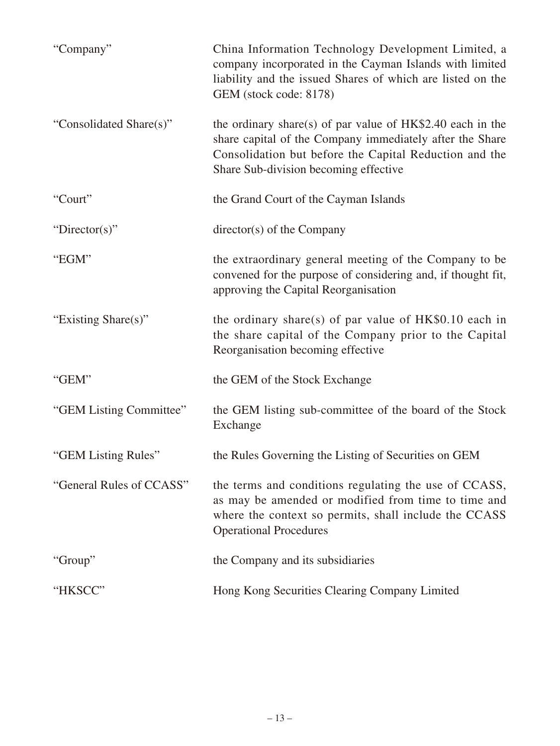| "Company"                | China Information Technology Development Limited, a<br>company incorporated in the Cayman Islands with limited<br>liability and the issued Shares of which are listed on the<br>GEM (stock code: 8178)                     |
|--------------------------|----------------------------------------------------------------------------------------------------------------------------------------------------------------------------------------------------------------------------|
| "Consolidated Share(s)"  | the ordinary share(s) of par value of $HK$2.40$ each in the<br>share capital of the Company immediately after the Share<br>Consolidation but before the Capital Reduction and the<br>Share Sub-division becoming effective |
| "Court"                  | the Grand Court of the Cayman Islands                                                                                                                                                                                      |
| "Director(s)"            | $directory(s)$ of the Company                                                                                                                                                                                              |
| "EGM"                    | the extraordinary general meeting of the Company to be<br>convened for the purpose of considering and, if thought fit,<br>approving the Capital Reorganisation                                                             |
| "Existing Share(s)"      | the ordinary share(s) of par value of $HK$0.10$ each in<br>the share capital of the Company prior to the Capital<br>Reorganisation becoming effective                                                                      |
| "GEM"                    | the GEM of the Stock Exchange                                                                                                                                                                                              |
| "GEM Listing Committee"  | the GEM listing sub-committee of the board of the Stock<br>Exchange                                                                                                                                                        |
| "GEM Listing Rules"      | the Rules Governing the Listing of Securities on GEM                                                                                                                                                                       |
| "General Rules of CCASS" | the terms and conditions regulating the use of CCASS,<br>as may be amended or modified from time to time and<br>where the context so permits, shall include the CCASS<br><b>Operational Procedures</b>                     |
| "Group"                  | the Company and its subsidiaries                                                                                                                                                                                           |
| "HKSCC"                  | Hong Kong Securities Clearing Company Limited                                                                                                                                                                              |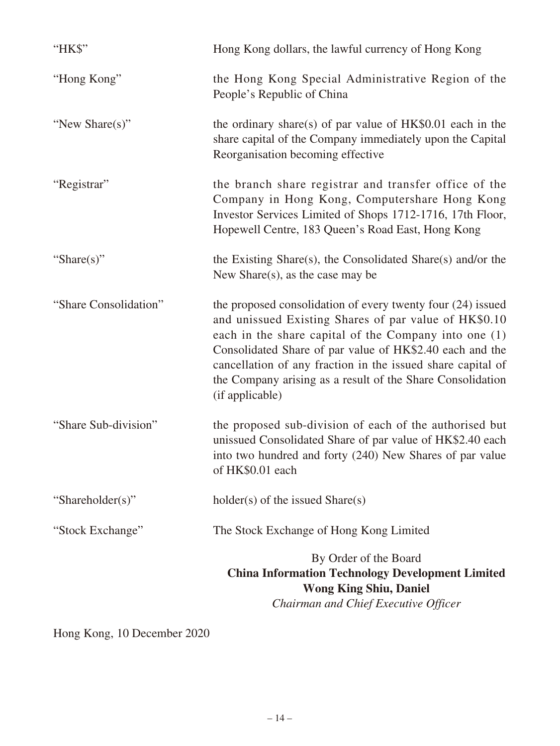| "HK\$"                | Hong Kong dollars, the lawful currency of Hong Kong                                                                                                                                                                                                                                                                                                                                       |
|-----------------------|-------------------------------------------------------------------------------------------------------------------------------------------------------------------------------------------------------------------------------------------------------------------------------------------------------------------------------------------------------------------------------------------|
| "Hong Kong"           | the Hong Kong Special Administrative Region of the<br>People's Republic of China                                                                                                                                                                                                                                                                                                          |
| "New Share(s)"        | the ordinary share(s) of par value of $HK$0.01$ each in the<br>share capital of the Company immediately upon the Capital<br>Reorganisation becoming effective                                                                                                                                                                                                                             |
| "Registrar"           | the branch share registrar and transfer office of the<br>Company in Hong Kong, Computershare Hong Kong<br>Investor Services Limited of Shops 1712-1716, 17th Floor,<br>Hopewell Centre, 183 Queen's Road East, Hong Kong                                                                                                                                                                  |
| "Share(s)"            | the Existing Share(s), the Consolidated Share(s) and/or the<br>New Share $(s)$ , as the case may be                                                                                                                                                                                                                                                                                       |
| "Share Consolidation" | the proposed consolidation of every twenty four (24) issued<br>and unissued Existing Shares of par value of HK\$0.10<br>each in the share capital of the Company into one (1)<br>Consolidated Share of par value of HK\$2.40 each and the<br>cancellation of any fraction in the issued share capital of<br>the Company arising as a result of the Share Consolidation<br>(if applicable) |
| "Share Sub-division"  | the proposed sub-division of each of the authorised but<br>unissued Consolidated Share of par value of HK\$2.40 each<br>into two hundred and forty (240) New Shares of par value<br>of HK\$0.01 each                                                                                                                                                                                      |
| "Shareholder(s)"      | $holder(s)$ of the issued Share $(s)$                                                                                                                                                                                                                                                                                                                                                     |
| "Stock Exchange"      | The Stock Exchange of Hong Kong Limited                                                                                                                                                                                                                                                                                                                                                   |
|                       | By Order of the Board<br><b>China Information Technology Development Limited</b><br><b>Wong King Shiu, Daniel</b><br>Chairman and Chief Executive Officer                                                                                                                                                                                                                                 |

Hong Kong, 10 December 2020